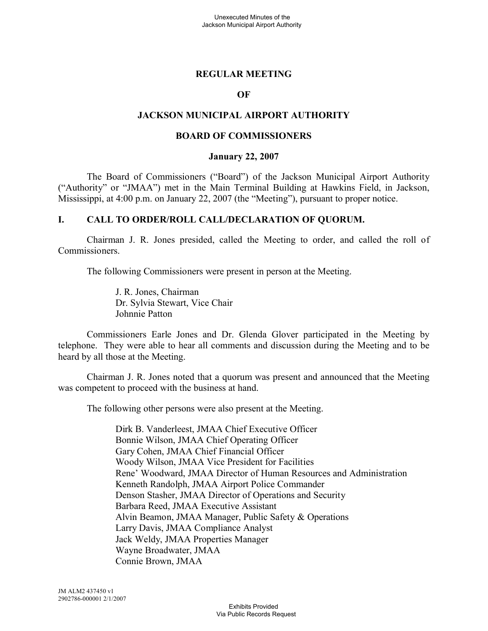### **REGULAR MEETING**

#### **OF**

### **JACKSON MUNICIPAL AIRPORT AUTHORITY**

#### **BOARD OF COMMISSIONERS**

#### **January 22, 2007**

The Board of Commissioners ("Board") of the Jackson Municipal Airport Authority ("Authority" or "JMAA") met in the Main Terminal Building at Hawkins Field, in Jackson, Mississippi, at 4:00 p.m. on January 22, 2007 (the "Meeting"), pursuant to proper notice.

#### **I. CALL TO ORDER/ROLL CALL/DECLARATION OF QUORUM.**

Chairman J. R. Jones presided, called the Meeting to order, and called the roll of Commissioners.

The following Commissioners were present in person at the Meeting.

J. R. Jones, Chairman Dr. Sylvia Stewart, Vice Chair Johnnie Patton

Commissioners Earle Jones and Dr. Glenda Glover participated in the Meeting by telephone. They were able to hear all comments and discussion during the Meeting and to be heard by all those at the Meeting.

Chairman J. R. Jones noted that a quorum was present and announced that the Meeting was competent to proceed with the business at hand.

The following other persons were also present at the Meeting.

Dirk B. Vanderleest, JMAA Chief Executive Officer Bonnie Wilson, JMAA Chief Operating Officer Gary Cohen, JMAA Chief Financial Officer Woody Wilson, JMAA Vice President for Facilities Rene' Woodward, JMAA Director of Human Resources and Administration Kenneth Randolph, JMAA Airport Police Commander Denson Stasher, JMAA Director of Operations and Security Barbara Reed, JMAA Executive Assistant Alvin Beamon, JMAA Manager, Public Safety & Operations Larry Davis, JMAA Compliance Analyst Jack Weldy, JMAA Properties Manager Wayne Broadwater, JMAA Connie Brown, JMAA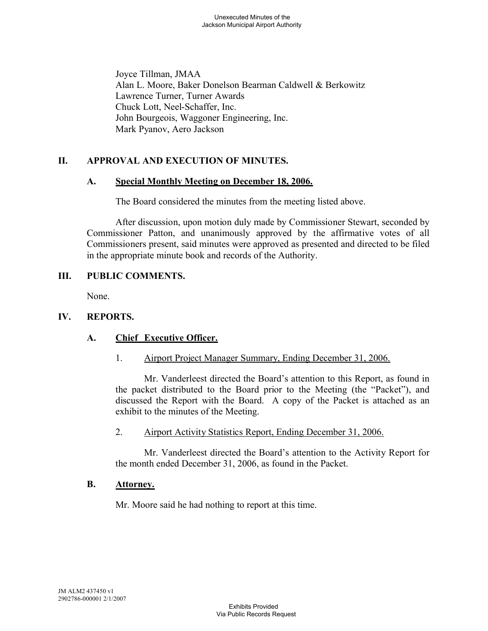Joyce Tillman, JMAA Alan L. Moore, Baker Donelson Bearman Caldwell & Berkowitz Lawrence Turner, Turner Awards Chuck Lott, Neel-Schaffer, Inc. John Bourgeois, Waggoner Engineering, Inc. Mark Pyanov, Aero Jackson

# **II. APPROVAL AND EXECUTION OF MINUTES.**

### **A. Special Monthly Meeting on December 18, 2006.**

The Board considered the minutes from the meeting listed above.

After discussion, upon motion duly made by Commissioner Stewart, seconded by Commissioner Patton, and unanimously approved by the affirmative votes of all Commissioners present, said minutes were approved as presented and directed to be filed in the appropriate minute book and records of the Authority.

# **III. PUBLIC COMMENTS.**

None.

## **IV. REPORTS.**

# **A. Chief Executive Officer.**

# 1. Airport Project Manager Summary, Ending December 31, 2006.

Mr. Vanderleest directed the Board's attention to this Report, as found in the packet distributed to the Board prior to the Meeting (the "Packet"), and discussed the Report with the Board. A copy of the Packet is attached as an exhibit to the minutes of the Meeting.

# 2. Airport Activity Statistics Report, Ending December 31, 2006.

Mr. Vanderleest directed the Board's attention to the Activity Report for the month ended December 31, 2006, as found in the Packet.

# **B. Attorney.**

Mr. Moore said he had nothing to report at this time.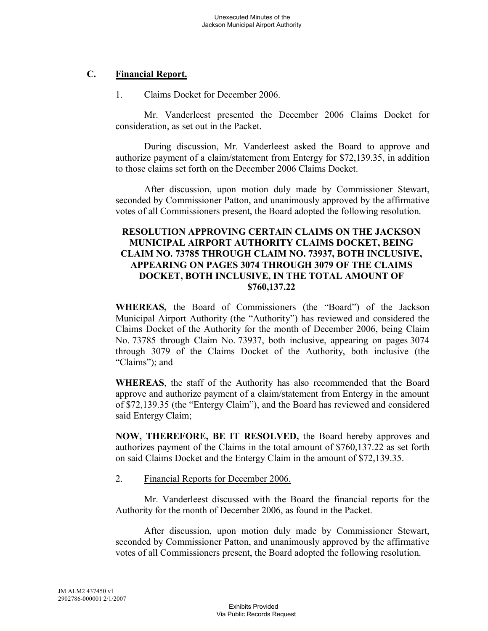# **C. Financial Report.**

#### 1. Claims Docket for December 2006.

Mr. Vanderleest presented the December 2006 Claims Docket for consideration, as set out in the Packet.

During discussion, Mr. Vanderleest asked the Board to approve and authorize payment of a claim/statement from Entergy for \$72,139.35, in addition to those claims set forth on the December 2006 Claims Docket.

After discussion, upon motion duly made by Commissioner Stewart, seconded by Commissioner Patton, and unanimously approved by the affirmative votes of all Commissioners present, the Board adopted the following resolution.

### **RESOLUTION APPROVING CERTAIN CLAIMS ON THE JACKSON MUNICIPAL AIRPORT AUTHORITY CLAIMS DOCKET, BEING CLAIM NO. 73785 THROUGH CLAIM NO. 73937, BOTH INCLUSIVE, APPEARING ON PAGES 3074 THROUGH 3079 OF THE CLAIMS DOCKET, BOTH INCLUSIVE, IN THE TOTAL AMOUNT OF \$760,137.22**

**WHEREAS,** the Board of Commissioners (the "Board") of the Jackson Municipal Airport Authority (the "Authority") has reviewed and considered the Claims Docket of the Authority for the month of December 2006, being Claim No. 73785 through Claim No. 73937, both inclusive, appearing on pages 3074 through 3079 of the Claims Docket of the Authority, both inclusive (the "Claims"); and

**WHEREAS**, the staff of the Authority has also recommended that the Board approve and authorize payment of a claim/statement from Entergy in the amount of \$72,139.35 (the "Entergy Claim"), and the Board has reviewed and considered said Entergy Claim;

**NOW, THEREFORE, BE IT RESOLVED,** the Board hereby approves and authorizes payment of the Claims in the total amount of \$760,137.22 as set forth on said Claims Docket and the Entergy Claim in the amount of \$72,139.35.

#### 2. Financial Reports for December 2006.

Mr. Vanderleest discussed with the Board the financial reports for the Authority for the month of December 2006, as found in the Packet.

After discussion, upon motion duly made by Commissioner Stewart, seconded by Commissioner Patton, and unanimously approved by the affirmative votes of all Commissioners present, the Board adopted the following resolution.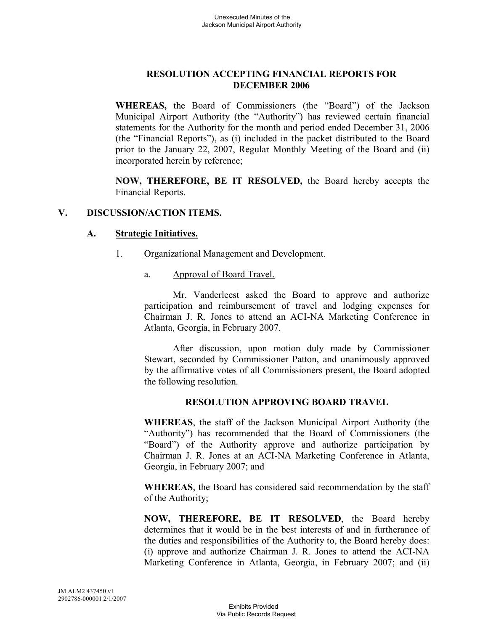# **RESOLUTION ACCEPTING FINANCIAL REPORTS FOR DECEMBER 2006**

**WHEREAS,** the Board of Commissioners (the "Board") of the Jackson Municipal Airport Authority (the "Authority") has reviewed certain financial statements for the Authority for the month and period ended December 31, 2006 (the "Financial Reports"), as (i) included in the packet distributed to the Board prior to the January 22, 2007, Regular Monthly Meeting of the Board and (ii) incorporated herein by reference;

**NOW, THEREFORE, BE IT RESOLVED,** the Board hereby accepts the Financial Reports.

### **V. DISCUSSION/ACTION ITEMS.**

### **A. Strategic Initiatives.**

- 1. Organizational Management and Development.
	- a. Approval of Board Travel.

Mr. Vanderleest asked the Board to approve and authorize participation and reimbursement of travel and lodging expenses for Chairman J. R. Jones to attend an ACI-NA Marketing Conference in Atlanta, Georgia, in February 2007.

After discussion, upon motion duly made by Commissioner Stewart, seconded by Commissioner Patton, and unanimously approved by the affirmative votes of all Commissioners present, the Board adopted the following resolution.

# **RESOLUTION APPROVING BOARD TRAVEL**

**WHEREAS**, the staff of the Jackson Municipal Airport Authority (the "Authority") has recommended that the Board of Commissioners (the "Board") of the Authority approve and authorize participation by Chairman J. R. Jones at an ACI-NA Marketing Conference in Atlanta, Georgia, in February 2007; and

**WHEREAS**, the Board has considered said recommendation by the staff of the Authority;

**NOW, THEREFORE, BE IT RESOLVED**, the Board hereby determines that it would be in the best interests of and in furtherance of the duties and responsibilities of the Authority to, the Board hereby does: (i) approve and authorize Chairman J. R. Jones to attend the ACI-NA Marketing Conference in Atlanta, Georgia, in February 2007; and (ii)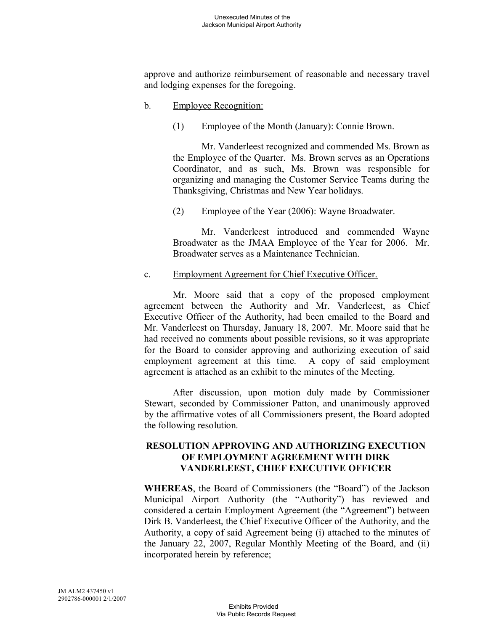approve and authorize reimbursement of reasonable and necessary travel and lodging expenses for the foregoing.

- b. Employee Recognition:
	- (1) Employee of the Month (January): Connie Brown.

Mr. Vanderleest recognized and commended Ms. Brown as the Employee of the Quarter. Ms. Brown serves as an Operations Coordinator, and as such, Ms. Brown was responsible for organizing and managing the Customer Service Teams during the Thanksgiving, Christmas and New Year holidays.

(2) Employee of the Year (2006): Wayne Broadwater.

Mr. Vanderleest introduced and commended Wayne Broadwater as the JMAA Employee of the Year for 2006. Mr. Broadwater serves as a Maintenance Technician.

c. Employment Agreement for Chief Executive Officer.

Mr. Moore said that a copy of the proposed employment agreement between the Authority and Mr. Vanderleest, as Chief Executive Officer of the Authority, had been emailed to the Board and Mr. Vanderleest on Thursday, January 18, 2007. Mr. Moore said that he had received no comments about possible revisions, so it was appropriate for the Board to consider approving and authorizing execution of said employment agreement at this time. A copy of said employment agreement is attached as an exhibit to the minutes of the Meeting.

After discussion, upon motion duly made by Commissioner Stewart, seconded by Commissioner Patton, and unanimously approved by the affirmative votes of all Commissioners present, the Board adopted the following resolution.

# **RESOLUTION APPROVING AND AUTHORIZING EXECUTION OF EMPLOYMENT AGREEMENT WITH DIRK VANDERLEEST, CHIEF EXECUTIVE OFFICER**

**WHEREAS**, the Board of Commissioners (the "Board") of the Jackson Municipal Airport Authority (the "Authority") has reviewed and considered a certain Employment Agreement (the "Agreement") between Dirk B. Vanderleest, the Chief Executive Officer of the Authority, and the Authority, a copy of said Agreement being (i) attached to the minutes of the January 22, 2007, Regular Monthly Meeting of the Board, and (ii) incorporated herein by reference;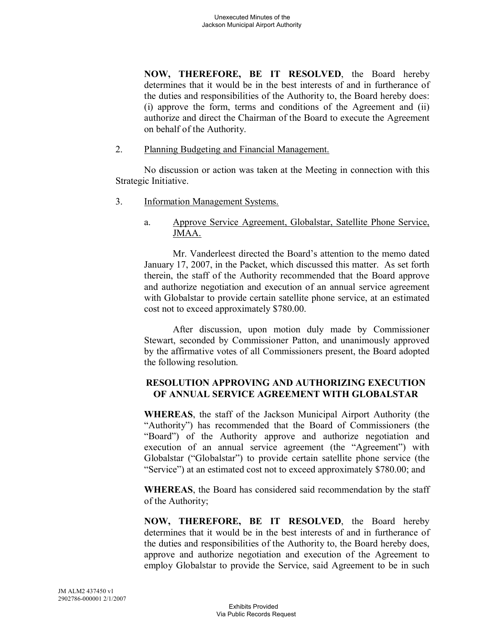**NOW, THEREFORE, BE IT RESOLVED**, the Board hereby determines that it would be in the best interests of and in furtherance of the duties and responsibilities of the Authority to, the Board hereby does: (i) approve the form, terms and conditions of the Agreement and (ii) authorize and direct the Chairman of the Board to execute the Agreement on behalf of the Authority.

2. Planning Budgeting and Financial Management.

No discussion or action was taken at the Meeting in connection with this Strategic Initiative.

3. Information Management Systems.

# a. Approve Service Agreement, Globalstar, Satellite Phone Service, JMAA.

Mr. Vanderleest directed the Board's attention to the memo dated January 17, 2007, in the Packet, which discussed this matter. As set forth therein, the staff of the Authority recommended that the Board approve and authorize negotiation and execution of an annual service agreement with Globalstar to provide certain satellite phone service, at an estimated cost not to exceed approximately \$780.00.

After discussion, upon motion duly made by Commissioner Stewart, seconded by Commissioner Patton, and unanimously approved by the affirmative votes of all Commissioners present, the Board adopted the following resolution.

# **RESOLUTION APPROVING AND AUTHORIZING EXECUTION OF ANNUAL SERVICE AGREEMENT WITH GLOBALSTAR**

**WHEREAS**, the staff of the Jackson Municipal Airport Authority (the "Authority") has recommended that the Board of Commissioners (the "Board") of the Authority approve and authorize negotiation and execution of an annual service agreement (the "Agreement") with Globalstar ("Globalstar") to provide certain satellite phone service (the "Service") at an estimated cost not to exceed approximately \$780.00; and

**WHEREAS**, the Board has considered said recommendation by the staff of the Authority;

**NOW, THEREFORE, BE IT RESOLVED**, the Board hereby determines that it would be in the best interests of and in furtherance of the duties and responsibilities of the Authority to, the Board hereby does, approve and authorize negotiation and execution of the Agreement to employ Globalstar to provide the Service, said Agreement to be in such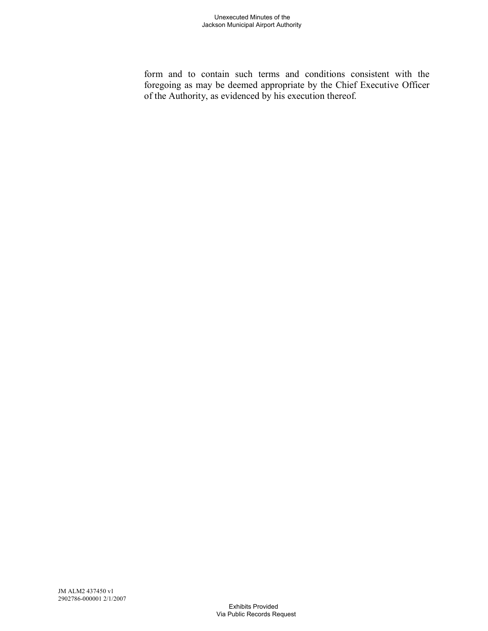form and to contain such terms and conditions consistent with the foregoing as may be deemed appropriate by the Chief Executive Officer of the Authority, as evidenced by his execution thereof.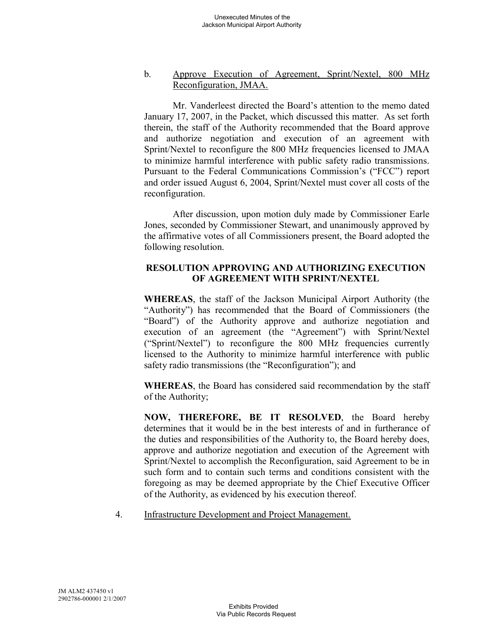# b. Approve Execution of Agreement, Sprint/Nextel, 800 MHz Reconfiguration, JMAA.

Mr. Vanderleest directed the Board's attention to the memo dated January 17, 2007, in the Packet, which discussed this matter. As set forth therein, the staff of the Authority recommended that the Board approve and authorize negotiation and execution of an agreement with Sprint/Nextel to reconfigure the 800 MHz frequencies licensed to JMAA to minimize harmful interference with public safety radio transmissions. Pursuant to the Federal Communications Commission's ("FCC") report and order issued August 6, 2004, Sprint/Nextel must cover all costs of the reconfiguration.

After discussion, upon motion duly made by Commissioner Earle Jones, seconded by Commissioner Stewart, and unanimously approved by the affirmative votes of all Commissioners present, the Board adopted the following resolution.

# **RESOLUTION APPROVING AND AUTHORIZING EXECUTION OF AGREEMENT WITH SPRINT/NEXTEL**

**WHEREAS**, the staff of the Jackson Municipal Airport Authority (the "Authority") has recommended that the Board of Commissioners (the "Board") of the Authority approve and authorize negotiation and execution of an agreement (the "Agreement") with Sprint/Nextel ("Sprint/Nextel") to reconfigure the 800 MHz frequencies currently licensed to the Authority to minimize harmful interference with public safety radio transmissions (the "Reconfiguration"); and

**WHEREAS**, the Board has considered said recommendation by the staff of the Authority;

**NOW, THEREFORE, BE IT RESOLVED**, the Board hereby determines that it would be in the best interests of and in furtherance of the duties and responsibilities of the Authority to, the Board hereby does, approve and authorize negotiation and execution of the Agreement with Sprint/Nextel to accomplish the Reconfiguration, said Agreement to be in such form and to contain such terms and conditions consistent with the foregoing as may be deemed appropriate by the Chief Executive Officer of the Authority, as evidenced by his execution thereof.

4. Infrastructure Development and Project Management.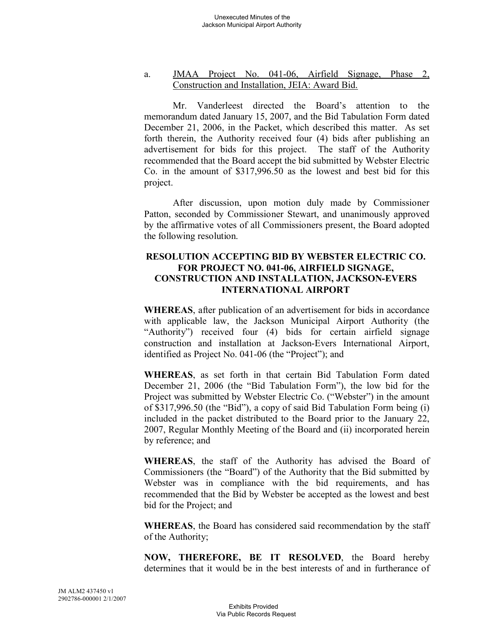#### a. JMAA Project No. 041-06, Airfield Signage, Phase 2, Construction and Installation, JEIA: Award Bid.

Mr. Vanderleest directed the Board's attention to the memorandum dated January 15, 2007, and the Bid Tabulation Form dated December 21, 2006, in the Packet, which described this matter. As set forth therein, the Authority received four (4) bids after publishing an advertisement for bids for this project. The staff of the Authority recommended that the Board accept the bid submitted by Webster Electric Co. in the amount of \$317,996.50 as the lowest and best bid for this project.

After discussion, upon motion duly made by Commissioner Patton, seconded by Commissioner Stewart, and unanimously approved by the affirmative votes of all Commissioners present, the Board adopted the following resolution.

# **RESOLUTION ACCEPTING BID BY WEBSTER ELECTRIC CO. FOR PROJECT NO. 041-06, AIRFIELD SIGNAGE, CONSTRUCTION AND INSTALLATION, JACKSON-EVERS INTERNATIONAL AIRPORT**

**WHEREAS**, after publication of an advertisement for bids in accordance with applicable law, the Jackson Municipal Airport Authority (the "Authority") received four (4) bids for certain airfield signage construction and installation at Jackson-Evers International Airport, identified as Project No. 041-06 (the "Project"); and

**WHEREAS**, as set forth in that certain Bid Tabulation Form dated December 21, 2006 (the "Bid Tabulation Form"), the low bid for the Project was submitted by Webster Electric Co. ("Webster") in the amount of \$317,996.50 (the "Bid"), a copy of said Bid Tabulation Form being (i) included in the packet distributed to the Board prior to the January 22, 2007, Regular Monthly Meeting of the Board and (ii) incorporated herein by reference; and

**WHEREAS**, the staff of the Authority has advised the Board of Commissioners (the "Board") of the Authority that the Bid submitted by Webster was in compliance with the bid requirements, and has recommended that the Bid by Webster be accepted as the lowest and best bid for the Project; and

**WHEREAS**, the Board has considered said recommendation by the staff of the Authority;

**NOW, THEREFORE, BE IT RESOLVED**, the Board hereby determines that it would be in the best interests of and in furtherance of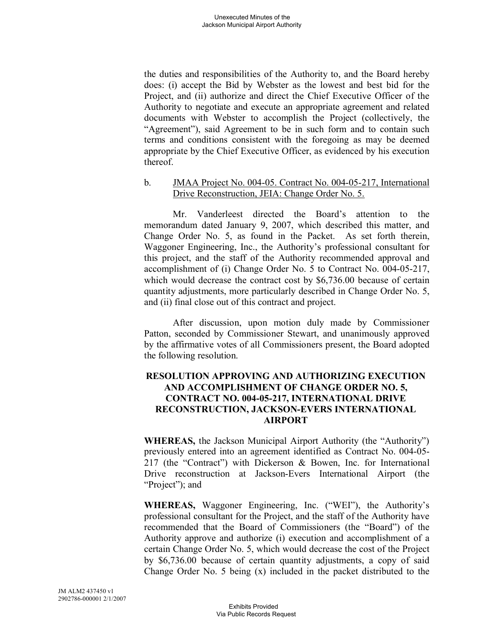the duties and responsibilities of the Authority to, and the Board hereby does: (i) accept the Bid by Webster as the lowest and best bid for the Project, and (ii) authorize and direct the Chief Executive Officer of the Authority to negotiate and execute an appropriate agreement and related documents with Webster to accomplish the Project (collectively, the "Agreement"), said Agreement to be in such form and to contain such terms and conditions consistent with the foregoing as may be deemed appropriate by the Chief Executive Officer, as evidenced by his execution thereof.

### b. JMAA Project No. 004-05. Contract No. 004-05-217, International Drive Reconstruction, JEIA: Change Order No. 5.

Mr. Vanderleest directed the Board's attention to the memorandum dated January 9, 2007, which described this matter, and Change Order No. 5, as found in the Packet. As set forth therein, Waggoner Engineering, Inc., the Authority's professional consultant for this project, and the staff of the Authority recommended approval and accomplishment of (i) Change Order No. 5 to Contract No. 004-05-217, which would decrease the contract cost by \$6,736.00 because of certain quantity adjustments, more particularly described in Change Order No. 5, and (ii) final close out of this contract and project.

After discussion, upon motion duly made by Commissioner Patton, seconded by Commissioner Stewart, and unanimously approved by the affirmative votes of all Commissioners present, the Board adopted the following resolution.

## **RESOLUTION APPROVING AND AUTHORIZING EXECUTION AND ACCOMPLISHMENT OF CHANGE ORDER NO. 5, CONTRACT NO. 004-05-217, INTERNATIONAL DRIVE RECONSTRUCTION, JACKSON-EVERS INTERNATIONAL AIRPORT**

**WHEREAS,** the Jackson Municipal Airport Authority (the "Authority") previously entered into an agreement identified as Contract No. 004-05- 217 (the "Contract") with Dickerson & Bowen, Inc. for International Drive reconstruction at Jackson-Evers International Airport (the "Project"); and

**WHEREAS,** Waggoner Engineering, Inc. ("WEI"), the Authority's professional consultant for the Project, and the staff of the Authority have recommended that the Board of Commissioners (the "Board") of the Authority approve and authorize (i) execution and accomplishment of a certain Change Order No. 5, which would decrease the cost of the Project by \$6,736.00 because of certain quantity adjustments, a copy of said Change Order No. 5 being (x) included in the packet distributed to the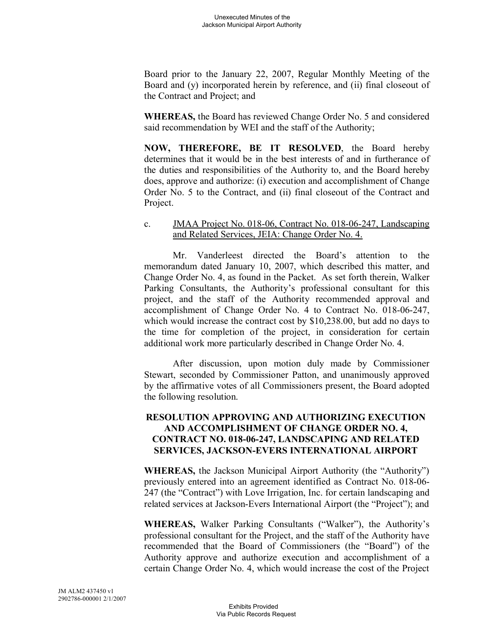Board prior to the January 22, 2007, Regular Monthly Meeting of the Board and (y) incorporated herein by reference, and (ii) final closeout of the Contract and Project; and

**WHEREAS,** the Board has reviewed Change Order No. 5 and considered said recommendation by WEI and the staff of the Authority;

**NOW, THEREFORE, BE IT RESOLVED**, the Board hereby determines that it would be in the best interests of and in furtherance of the duties and responsibilities of the Authority to, and the Board hereby does, approve and authorize: (i) execution and accomplishment of Change Order No. 5 to the Contract, and (ii) final closeout of the Contract and Project.

#### c. JMAA Project No. 018-06, Contract No. 018-06-247, Landscaping and Related Services, JEIA: Change Order No. 4.

Mr. Vanderleest directed the Board's attention to the memorandum dated January 10, 2007, which described this matter, and Change Order No. 4, as found in the Packet. As set forth therein, Walker Parking Consultants, the Authority's professional consultant for this project, and the staff of the Authority recommended approval and accomplishment of Change Order No. 4 to Contract No. 018-06-247, which would increase the contract cost by \$10,238.00, but add no days to the time for completion of the project, in consideration for certain additional work more particularly described in Change Order No. 4.

After discussion, upon motion duly made by Commissioner Stewart, seconded by Commissioner Patton, and unanimously approved by the affirmative votes of all Commissioners present, the Board adopted the following resolution.

## **RESOLUTION APPROVING AND AUTHORIZING EXECUTION AND ACCOMPLISHMENT OF CHANGE ORDER NO. 4, CONTRACT NO. 018-06-247, LANDSCAPING AND RELATED SERVICES, JACKSON-EVERS INTERNATIONAL AIRPORT**

**WHEREAS,** the Jackson Municipal Airport Authority (the "Authority") previously entered into an agreement identified as Contract No. 018-06- 247 (the "Contract") with Love Irrigation, Inc. for certain landscaping and related services at Jackson-Evers International Airport (the "Project"); and

**WHEREAS,** Walker Parking Consultants ("Walker"), the Authority's professional consultant for the Project, and the staff of the Authority have recommended that the Board of Commissioners (the "Board") of the Authority approve and authorize execution and accomplishment of a certain Change Order No. 4, which would increase the cost of the Project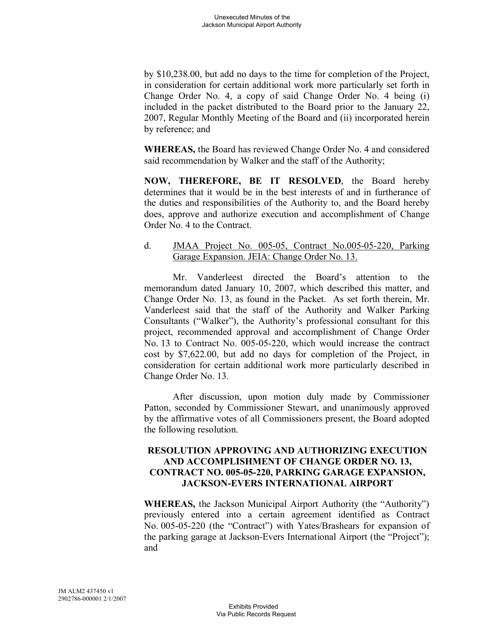by \$10,238.00, but add no days to the time for completion of the Project, in consideration for certain additional work more particularly set forth in Change Order No. 4, a copy of said Change Order No. 4 being (i) included in the packet distributed to the Board prior to the January 22, 2007, Regular Monthly Meeting of the Board and (ii) incorporated herein by reference; and

**WHEREAS,** the Board has reviewed Change Order No. 4 and considered said recommendation by Walker and the staff of the Authority;

**NOW, THEREFORE, BE IT RESOLVED**, the Board hereby determines that it would be in the best interests of and in furtherance of the duties and responsibilities of the Authority to, and the Board hereby does, approve and authorize execution and accomplishment of Change Order No. 4 to the Contract.

## d. JMAA Project No. 005-05, Contract No.005-05-220, Parking Garage Expansion. JEIA: Change Order No. 13.

Mr. Vanderleest directed the Board's attention to the memorandum dated January 10, 2007, which described this matter, and Change Order No. 13, as found in the Packet. As set forth therein, Mr. Vanderleest said that the staff of the Authority and Walker Parking Consultants ("Walker"), the Authority's professional consultant for this project, recommended approval and accomplishment of Change Order No. 13 to Contract No. 005-05-220, which would increase the contract cost by \$7,622.00, but add no days for completion of the Project, in consideration for certain additional work more particularly described in Change Order No. 13.

After discussion, upon motion duly made by Commissioner Patton, seconded by Commissioner Stewart, and unanimously approved by the affirmative votes of all Commissioners present, the Board adopted the following resolution.

### **RESOLUTION APPROVING AND AUTHORIZING EXECUTION AND ACCOMPLISHMENT OF CHANGE ORDER NO. 13, CONTRACT NO. 005-05-220, PARKING GARAGE EXPANSION, JACKSON-EVERS INTERNATIONAL AIRPORT**

**WHEREAS,** the Jackson Municipal Airport Authority (the "Authority") previously entered into a certain agreement identified as Contract No. 005-05-220 (the "Contract") with Yates/Brashears for expansion of the parking garage at Jackson-Evers International Airport (the "Project"); and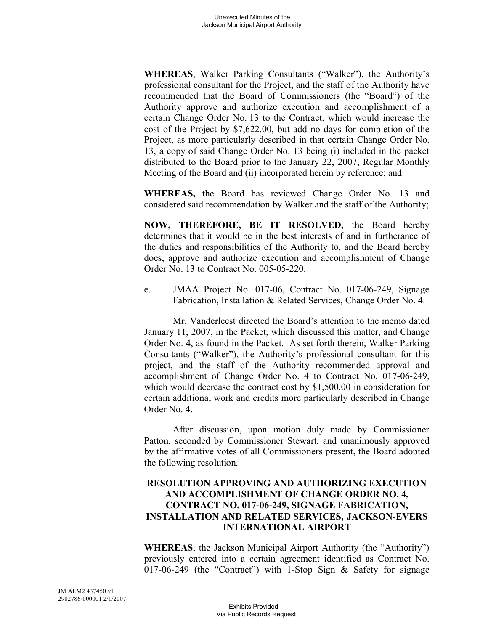**WHEREAS**, Walker Parking Consultants ("Walker"), the Authority's professional consultant for the Project, and the staff of the Authority have recommended that the Board of Commissioners (the "Board") of the Authority approve and authorize execution and accomplishment of a certain Change Order No. 13 to the Contract, which would increase the cost of the Project by \$7,622.00, but add no days for completion of the Project, as more particularly described in that certain Change Order No. 13, a copy of said Change Order No. 13 being (i) included in the packet distributed to the Board prior to the January 22, 2007, Regular Monthly Meeting of the Board and (ii) incorporated herein by reference; and

**WHEREAS,** the Board has reviewed Change Order No. 13 and considered said recommendation by Walker and the staff of the Authority;

**NOW, THEREFORE, BE IT RESOLVED,** the Board hereby determines that it would be in the best interests of and in furtherance of the duties and responsibilities of the Authority to, and the Board hereby does, approve and authorize execution and accomplishment of Change Order No. 13 to Contract No. 005-05-220.

### e. JMAA Project No. 017-06, Contract No. 017-06-249, Signage Fabrication, Installation & Related Services, Change Order No. 4.

Mr. Vanderleest directed the Board's attention to the memo dated January 11, 2007, in the Packet, which discussed this matter, and Change Order No. 4, as found in the Packet. As set forth therein, Walker Parking Consultants ("Walker"), the Authority's professional consultant for this project, and the staff of the Authority recommended approval and accomplishment of Change Order No. 4 to Contract No. 017-06-249, which would decrease the contract cost by \$1,500.00 in consideration for certain additional work and credits more particularly described in Change Order No. 4.

After discussion, upon motion duly made by Commissioner Patton, seconded by Commissioner Stewart, and unanimously approved by the affirmative votes of all Commissioners present, the Board adopted the following resolution.

## **RESOLUTION APPROVING AND AUTHORIZING EXECUTION AND ACCOMPLISHMENT OF CHANGE ORDER NO. 4, CONTRACT NO. 017-06-249, SIGNAGE FABRICATION, INSTALLATION AND RELATED SERVICES, JACKSON-EVERS INTERNATIONAL AIRPORT**

**WHEREAS**, the Jackson Municipal Airport Authority (the "Authority") previously entered into a certain agreement identified as Contract No. 017-06-249 (the "Contract") with 1-Stop Sign & Safety for signage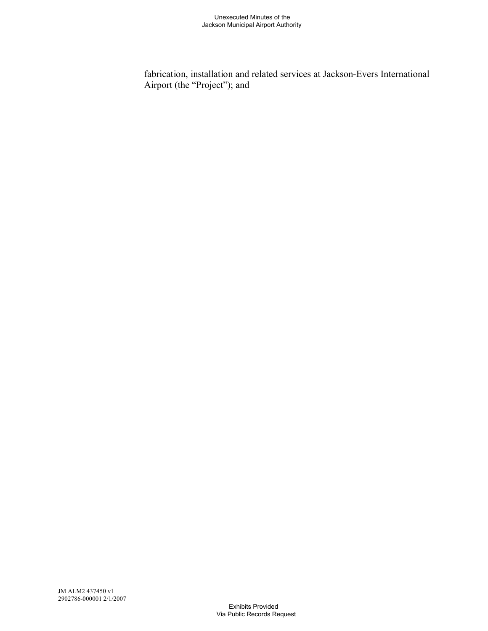fabrication, installation and related services at Jackson-Evers International Airport (the "Project"); and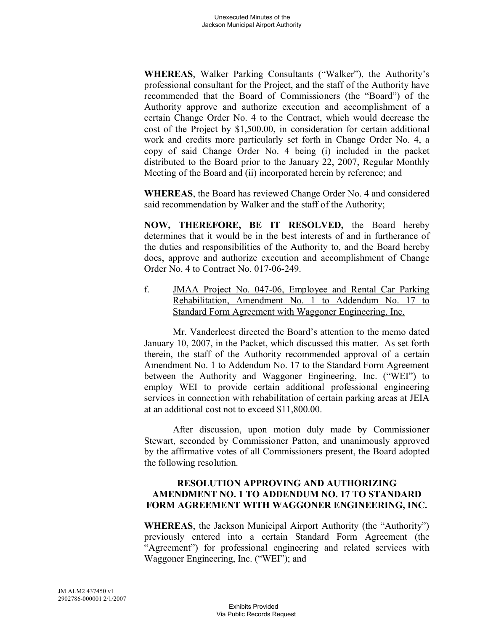**WHEREAS**, Walker Parking Consultants ("Walker"), the Authority's professional consultant for the Project, and the staff of the Authority have recommended that the Board of Commissioners (the "Board") of the Authority approve and authorize execution and accomplishment of a certain Change Order No. 4 to the Contract, which would decrease the cost of the Project by \$1,500.00, in consideration for certain additional work and credits more particularly set forth in Change Order No. 4, a copy of said Change Order No. 4 being (i) included in the packet distributed to the Board prior to the January 22, 2007, Regular Monthly Meeting of the Board and (ii) incorporated herein by reference; and

**WHEREAS**, the Board has reviewed Change Order No. 4 and considered said recommendation by Walker and the staff of the Authority;

**NOW, THEREFORE, BE IT RESOLVED,** the Board hereby determines that it would be in the best interests of and in furtherance of the duties and responsibilities of the Authority to, and the Board hereby does, approve and authorize execution and accomplishment of Change Order No. 4 to Contract No. 017-06-249.

f. JMAA Project No. 047-06, Employee and Rental Car Parking Rehabilitation, Amendment No. 1 to Addendum No. 17 to Standard Form Agreement with Waggoner Engineering, Inc.

Mr. Vanderleest directed the Board's attention to the memo dated January 10, 2007, in the Packet, which discussed this matter. As set forth therein, the staff of the Authority recommended approval of a certain Amendment No. 1 to Addendum No. 17 to the Standard Form Agreement between the Authority and Waggoner Engineering, Inc. ("WEI") to employ WEI to provide certain additional professional engineering services in connection with rehabilitation of certain parking areas at JEIA at an additional cost not to exceed \$11,800.00.

After discussion, upon motion duly made by Commissioner Stewart, seconded by Commissioner Patton, and unanimously approved by the affirmative votes of all Commissioners present, the Board adopted the following resolution.

## **RESOLUTION APPROVING AND AUTHORIZING AMENDMENT NO. 1 TO ADDENDUM NO. 17 TO STANDARD FORM AGREEMENT WITH WAGGONER ENGINEERING, INC.**

**WHEREAS**, the Jackson Municipal Airport Authority (the "Authority") previously entered into a certain Standard Form Agreement (the "Agreement") for professional engineering and related services with Waggoner Engineering, Inc. ("WEI"); and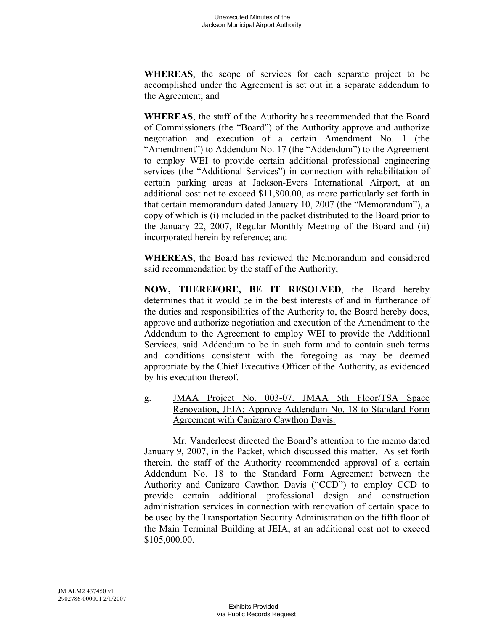**WHEREAS**, the scope of services for each separate project to be accomplished under the Agreement is set out in a separate addendum to the Agreement; and

**WHEREAS**, the staff of the Authority has recommended that the Board of Commissioners (the "Board") of the Authority approve and authorize negotiation and execution of a certain Amendment No. 1 (the "Amendment") to Addendum No. 17 (the "Addendum") to the Agreement to employ WEI to provide certain additional professional engineering services (the "Additional Services") in connection with rehabilitation of certain parking areas at Jackson-Evers International Airport, at an additional cost not to exceed \$11,800.00, as more particularly set forth in that certain memorandum dated January 10, 2007 (the "Memorandum"), a copy of which is (i) included in the packet distributed to the Board prior to the January 22, 2007, Regular Monthly Meeting of the Board and (ii) incorporated herein by reference; and

**WHEREAS**, the Board has reviewed the Memorandum and considered said recommendation by the staff of the Authority;

**NOW, THEREFORE, BE IT RESOLVED**, the Board hereby determines that it would be in the best interests of and in furtherance of the duties and responsibilities of the Authority to, the Board hereby does, approve and authorize negotiation and execution of the Amendment to the Addendum to the Agreement to employ WEI to provide the Additional Services, said Addendum to be in such form and to contain such terms and conditions consistent with the foregoing as may be deemed appropriate by the Chief Executive Officer of the Authority, as evidenced by his execution thereof.

g. JMAA Project No. 003-07. JMAA 5th Floor/TSA Space Renovation, JEIA: Approve Addendum No. 18 to Standard Form Agreement with Canizaro Cawthon Davis.

Mr. Vanderleest directed the Board's attention to the memo dated January 9, 2007, in the Packet, which discussed this matter. As set forth therein, the staff of the Authority recommended approval of a certain Addendum No. 18 to the Standard Form Agreement between the Authority and Canizaro Cawthon Davis ("CCD") to employ CCD to provide certain additional professional design and construction administration services in connection with renovation of certain space to be used by the Transportation Security Administration on the fifth floor of the Main Terminal Building at JEIA, at an additional cost not to exceed \$105,000.00.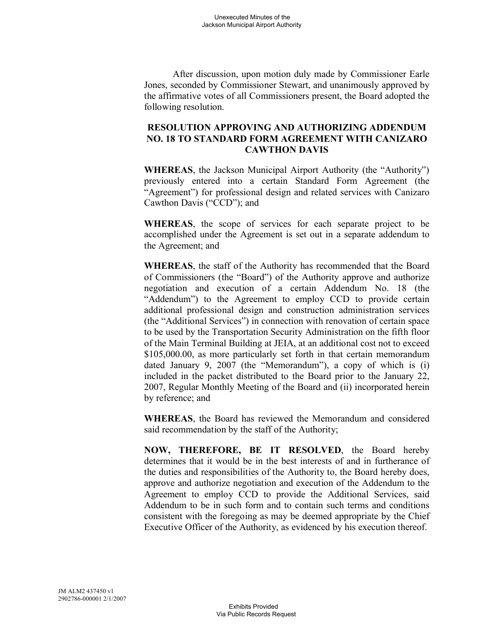After discussion, upon motion duly made by Commissioner Earle Jones, seconded by Commissioner Stewart, and unanimously approved by the affirmative votes of all Commissioners present, the Board adopted the following resolution.

### **RESOLUTION APPROVING AND AUTHORIZING ADDENDUM NO. 18 TO STANDARD FORM AGREEMENT WITH CANIZARO CAWTHON DAVIS**

**WHEREAS**, the Jackson Municipal Airport Authority (the "Authority") previously entered into a certain Standard Form Agreement (the "Agreement") for professional design and related services with Canizaro Cawthon Davis ("CCD"); and

**WHEREAS**, the scope of services for each separate project to be accomplished under the Agreement is set out in a separate addendum to the Agreement; and

**WHEREAS**, the staff of the Authority has recommended that the Board of Commissioners (the "Board") of the Authority approve and authorize negotiation and execution of a certain Addendum No. 18 (the "Addendum") to the Agreement to employ CCD to provide certain additional professional design and construction administration services (the "Additional Services") in connection with renovation of certain space to be used by the Transportation Security Administration on the fifth floor of the Main Terminal Building at JEIA, at an additional cost not to exceed \$105,000.00, as more particularly set forth in that certain memorandum dated January 9, 2007 (the "Memorandum"), a copy of which is (i) included in the packet distributed to the Board prior to the January 22, 2007, Regular Monthly Meeting of the Board and (ii) incorporated herein by reference; and

**WHEREAS**, the Board has reviewed the Memorandum and considered said recommendation by the staff of the Authority;

**NOW, THEREFORE, BE IT RESOLVED**, the Board hereby determines that it would be in the best interests of and in furtherance of the duties and responsibilities of the Authority to, the Board hereby does, approve and authorize negotiation and execution of the Addendum to the Agreement to employ CCD to provide the Additional Services, said Addendum to be in such form and to contain such terms and conditions consistent with the foregoing as may be deemed appropriate by the Chief Executive Officer of the Authority, as evidenced by his execution thereof.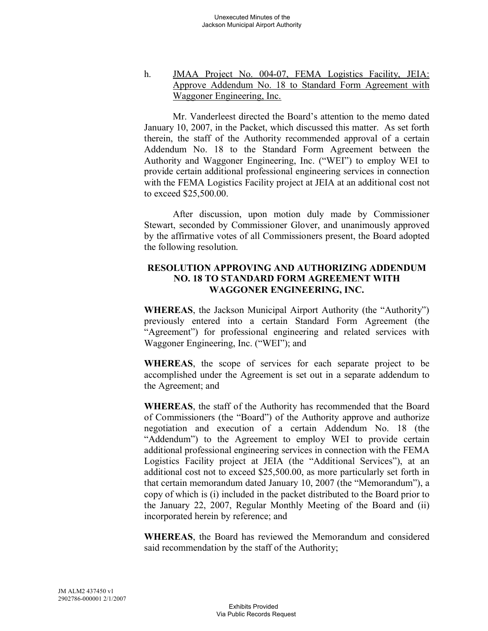#### h. JMAA Project No. 004-07, FEMA Logistics Facility, JEIA: Approve Addendum No. 18 to Standard Form Agreement with Waggoner Engineering, Inc.

Mr. Vanderleest directed the Board's attention to the memo dated January 10, 2007, in the Packet, which discussed this matter. As set forth therein, the staff of the Authority recommended approval of a certain Addendum No. 18 to the Standard Form Agreement between the Authority and Waggoner Engineering, Inc. ("WEI") to employ WEI to provide certain additional professional engineering services in connection with the FEMA Logistics Facility project at JEIA at an additional cost not to exceed \$25,500.00.

After discussion, upon motion duly made by Commissioner Stewart, seconded by Commissioner Glover, and unanimously approved by the affirmative votes of all Commissioners present, the Board adopted the following resolution.

# **RESOLUTION APPROVING AND AUTHORIZING ADDENDUM NO. 18 TO STANDARD FORM AGREEMENT WITH WAGGONER ENGINEERING, INC.**

**WHEREAS**, the Jackson Municipal Airport Authority (the "Authority") previously entered into a certain Standard Form Agreement (the "Agreement") for professional engineering and related services with Waggoner Engineering, Inc. ("WEI"); and

**WHEREAS**, the scope of services for each separate project to be accomplished under the Agreement is set out in a separate addendum to the Agreement; and

**WHEREAS**, the staff of the Authority has recommended that the Board of Commissioners (the "Board") of the Authority approve and authorize negotiation and execution of a certain Addendum No. 18 (the "Addendum") to the Agreement to employ WEI to provide certain additional professional engineering services in connection with the FEMA Logistics Facility project at JEIA (the "Additional Services"), at an additional cost not to exceed \$25,500.00, as more particularly set forth in that certain memorandum dated January 10, 2007 (the "Memorandum"), a copy of which is (i) included in the packet distributed to the Board prior to the January 22, 2007, Regular Monthly Meeting of the Board and (ii) incorporated herein by reference; and

**WHEREAS**, the Board has reviewed the Memorandum and considered said recommendation by the staff of the Authority;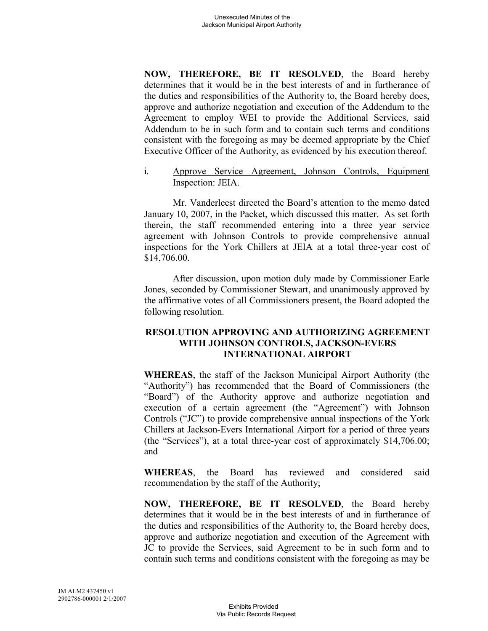**NOW, THEREFORE, BE IT RESOLVED**, the Board hereby determines that it would be in the best interests of and in furtherance of the duties and responsibilities of the Authority to, the Board hereby does, approve and authorize negotiation and execution of the Addendum to the Agreement to employ WEI to provide the Additional Services, said Addendum to be in such form and to contain such terms and conditions consistent with the foregoing as may be deemed appropriate by the Chief Executive Officer of the Authority, as evidenced by his execution thereof.

i. Approve Service Agreement, Johnson Controls, Equipment Inspection: JEIA.

Mr. Vanderleest directed the Board's attention to the memo dated January 10, 2007, in the Packet, which discussed this matter. As set forth therein, the staff recommended entering into a three year service agreement with Johnson Controls to provide comprehensive annual inspections for the York Chillers at JEIA at a total three-year cost of \$14,706.00.

After discussion, upon motion duly made by Commissioner Earle Jones, seconded by Commissioner Stewart, and unanimously approved by the affirmative votes of all Commissioners present, the Board adopted the following resolution.

# **RESOLUTION APPROVING AND AUTHORIZING AGREEMENT WITH JOHNSON CONTROLS, JACKSON-EVERS INTERNATIONAL AIRPORT**

**WHEREAS**, the staff of the Jackson Municipal Airport Authority (the "Authority") has recommended that the Board of Commissioners (the "Board") of the Authority approve and authorize negotiation and execution of a certain agreement (the "Agreement") with Johnson Controls ("JC") to provide comprehensive annual inspections of the York Chillers at Jackson-Evers International Airport for a period of three years (the "Services"), at a total three-year cost of approximately \$14,706.00; and

**WHEREAS**, the Board has reviewed and considered said recommendation by the staff of the Authority;

**NOW, THEREFORE, BE IT RESOLVED**, the Board hereby determines that it would be in the best interests of and in furtherance of the duties and responsibilities of the Authority to, the Board hereby does, approve and authorize negotiation and execution of the Agreement with JC to provide the Services, said Agreement to be in such form and to contain such terms and conditions consistent with the foregoing as may be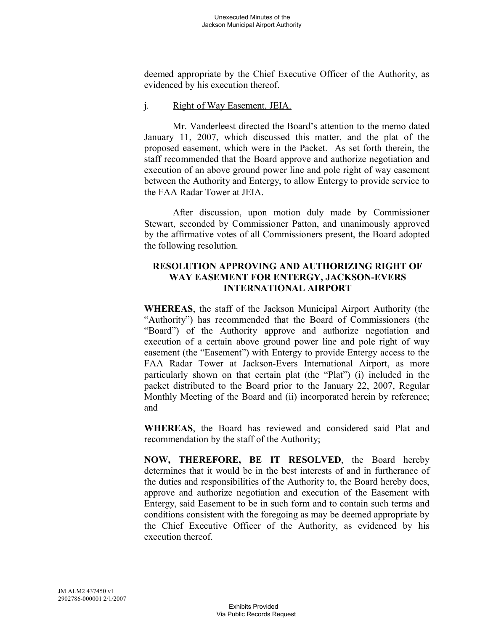deemed appropriate by the Chief Executive Officer of the Authority, as evidenced by his execution thereof.

#### j. Right of Way Easement, JEIA.

Mr. Vanderleest directed the Board's attention to the memo dated January 11, 2007, which discussed this matter, and the plat of the proposed easement, which were in the Packet. As set forth therein, the staff recommended that the Board approve and authorize negotiation and execution of an above ground power line and pole right of way easement between the Authority and Entergy, to allow Entergy to provide service to the FAA Radar Tower at JEIA.

After discussion, upon motion duly made by Commissioner Stewart, seconded by Commissioner Patton, and unanimously approved by the affirmative votes of all Commissioners present, the Board adopted the following resolution.

### **RESOLUTION APPROVING AND AUTHORIZING RIGHT OF WAY EASEMENT FOR ENTERGY, JACKSON-EVERS INTERNATIONAL AIRPORT**

**WHEREAS**, the staff of the Jackson Municipal Airport Authority (the "Authority") has recommended that the Board of Commissioners (the "Board") of the Authority approve and authorize negotiation and execution of a certain above ground power line and pole right of way easement (the "Easement") with Entergy to provide Entergy access to the FAA Radar Tower at Jackson-Evers International Airport, as more particularly shown on that certain plat (the "Plat") (i) included in the packet distributed to the Board prior to the January 22, 2007, Regular Monthly Meeting of the Board and (ii) incorporated herein by reference; and

**WHEREAS**, the Board has reviewed and considered said Plat and recommendation by the staff of the Authority;

**NOW, THEREFORE, BE IT RESOLVED**, the Board hereby determines that it would be in the best interests of and in furtherance of the duties and responsibilities of the Authority to, the Board hereby does, approve and authorize negotiation and execution of the Easement with Entergy, said Easement to be in such form and to contain such terms and conditions consistent with the foregoing as may be deemed appropriate by the Chief Executive Officer of the Authority, as evidenced by his execution thereof.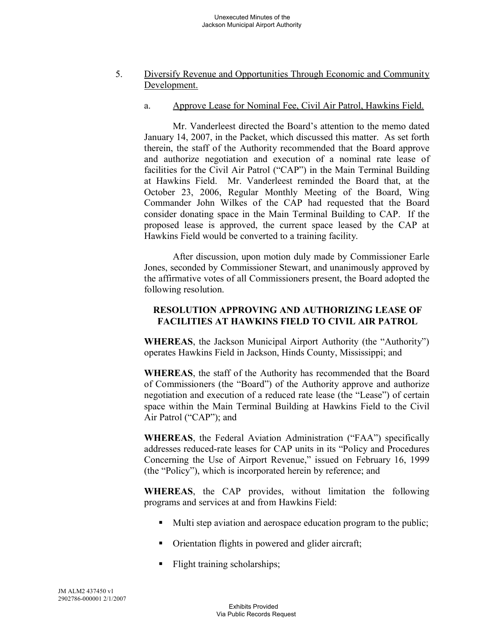# 5. Diversify Revenue and Opportunities Through Economic and Community Development.

#### a. Approve Lease for Nominal Fee, Civil Air Patrol, Hawkins Field.

Mr. Vanderleest directed the Board's attention to the memo dated January 14, 2007, in the Packet, which discussed this matter. As set forth therein, the staff of the Authority recommended that the Board approve and authorize negotiation and execution of a nominal rate lease of facilities for the Civil Air Patrol ("CAP") in the Main Terminal Building at Hawkins Field. Mr. Vanderleest reminded the Board that, at the October 23, 2006, Regular Monthly Meeting of the Board, Wing Commander John Wilkes of the CAP had requested that the Board consider donating space in the Main Terminal Building to CAP. If the proposed lease is approved, the current space leased by the CAP at Hawkins Field would be converted to a training facility.

After discussion, upon motion duly made by Commissioner Earle Jones, seconded by Commissioner Stewart, and unanimously approved by the affirmative votes of all Commissioners present, the Board adopted the following resolution.

# **RESOLUTION APPROVING AND AUTHORIZING LEASE OF FACILITIES AT HAWKINS FIELD TO CIVIL AIR PATROL**

**WHEREAS**, the Jackson Municipal Airport Authority (the "Authority") operates Hawkins Field in Jackson, Hinds County, Mississippi; and

**WHEREAS**, the staff of the Authority has recommended that the Board of Commissioners (the "Board") of the Authority approve and authorize negotiation and execution of a reduced rate lease (the "Lease") of certain space within the Main Terminal Building at Hawkins Field to the Civil Air Patrol ("CAP"); and

**WHEREAS**, the Federal Aviation Administration ("FAA") specifically addresses reduced-rate leases for CAP units in its "Policy and Procedures Concerning the Use of Airport Revenue," issued on February 16, 1999 (the "Policy"), which is incorporated herein by reference; and

**WHEREAS**, the CAP provides, without limitation the following programs and services at and from Hawkins Field:

- Multi step aviation and aerospace education program to the public;
- Orientation flights in powered and glider aircraft;
- Flight training scholarships;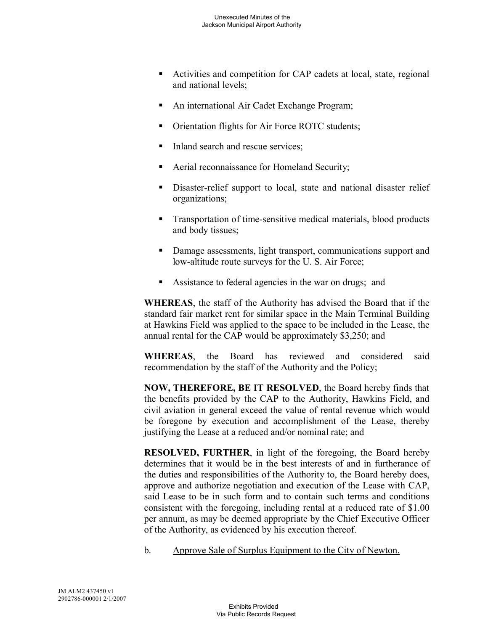- Activities and competition for CAP cadets at local, state, regional and national levels;
- An international Air Cadet Exchange Program;
- Orientation flights for Air Force ROTC students;
- Inland search and rescue services;
- Aerial reconnaissance for Homeland Security;
- § Disaster-relief support to local, state and national disaster relief organizations;
- Transportation of time-sensitive medical materials, blood products and body tissues;
- Damage assessments, light transport, communications support and low-altitude route surveys for the U. S. Air Force;
- Assistance to federal agencies in the war on drugs; and

**WHEREAS**, the staff of the Authority has advised the Board that if the standard fair market rent for similar space in the Main Terminal Building at Hawkins Field was applied to the space to be included in the Lease, the annual rental for the CAP would be approximately \$3,250; and

**WHEREAS**, the Board has reviewed and considered said recommendation by the staff of the Authority and the Policy;

**NOW, THEREFORE, BE IT RESOLVED**, the Board hereby finds that the benefits provided by the CAP to the Authority, Hawkins Field, and civil aviation in general exceed the value of rental revenue which would be foregone by execution and accomplishment of the Lease, thereby justifying the Lease at a reduced and/or nominal rate; and

**RESOLVED, FURTHER**, in light of the foregoing, the Board hereby determines that it would be in the best interests of and in furtherance of the duties and responsibilities of the Authority to, the Board hereby does, approve and authorize negotiation and execution of the Lease with CAP, said Lease to be in such form and to contain such terms and conditions consistent with the foregoing, including rental at a reduced rate of \$1.00 per annum, as may be deemed appropriate by the Chief Executive Officer of the Authority, as evidenced by his execution thereof.

b. Approve Sale of Surplus Equipment to the City of Newton.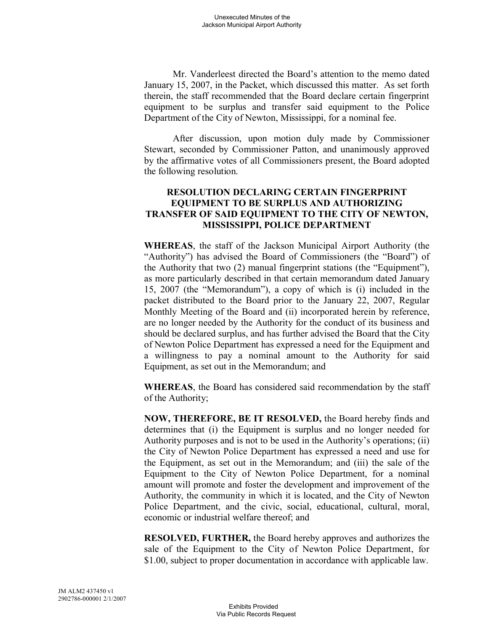Mr. Vanderleest directed the Board's attention to the memo dated January 15, 2007, in the Packet, which discussed this matter. As set forth therein, the staff recommended that the Board declare certain fingerprint equipment to be surplus and transfer said equipment to the Police Department of the City of Newton, Mississippi, for a nominal fee.

After discussion, upon motion duly made by Commissioner Stewart, seconded by Commissioner Patton, and unanimously approved by the affirmative votes of all Commissioners present, the Board adopted the following resolution.

# **RESOLUTION DECLARING CERTAIN FINGERPRINT EQUIPMENT TO BE SURPLUS AND AUTHORIZING TRANSFER OF SAID EQUIPMENT TO THE CITY OF NEWTON, MISSISSIPPI, POLICE DEPARTMENT**

**WHEREAS**, the staff of the Jackson Municipal Airport Authority (the "Authority") has advised the Board of Commissioners (the "Board") of the Authority that two (2) manual fingerprint stations (the "Equipment"), as more particularly described in that certain memorandum dated January 15, 2007 (the "Memorandum"), a copy of which is (i) included in the packet distributed to the Board prior to the January 22, 2007, Regular Monthly Meeting of the Board and (ii) incorporated herein by reference, are no longer needed by the Authority for the conduct of its business and should be declared surplus, and has further advised the Board that the City of Newton Police Department has expressed a need for the Equipment and a willingness to pay a nominal amount to the Authority for said Equipment, as set out in the Memorandum; and

**WHEREAS**, the Board has considered said recommendation by the staff of the Authority;

**NOW, THEREFORE, BE IT RESOLVED,** the Board hereby finds and determines that (i) the Equipment is surplus and no longer needed for Authority purposes and is not to be used in the Authority's operations; (ii) the City of Newton Police Department has expressed a need and use for the Equipment, as set out in the Memorandum; and (iii) the sale of the Equipment to the City of Newton Police Department, for a nominal amount will promote and foster the development and improvement of the Authority, the community in which it is located, and the City of Newton Police Department, and the civic, social, educational, cultural, moral, economic or industrial welfare thereof; and

**RESOLVED, FURTHER,** the Board hereby approves and authorizes the sale of the Equipment to the City of Newton Police Department, for \$1.00, subject to proper documentation in accordance with applicable law.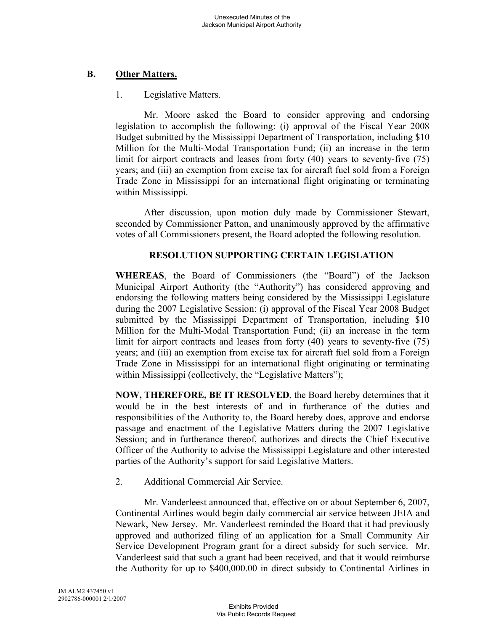# **B. Other Matters.**

### 1. Legislative Matters.

Mr. Moore asked the Board to consider approving and endorsing legislation to accomplish the following: (i) approval of the Fiscal Year 2008 Budget submitted by the Mississippi Department of Transportation, including \$10 Million for the Multi-Modal Transportation Fund; (ii) an increase in the term limit for airport contracts and leases from forty (40) years to seventy-five (75) years; and (iii) an exemption from excise tax for aircraft fuel sold from a Foreign Trade Zone in Mississippi for an international flight originating or terminating within Mississippi.

After discussion, upon motion duly made by Commissioner Stewart, seconded by Commissioner Patton, and unanimously approved by the affirmative votes of all Commissioners present, the Board adopted the following resolution.

### **RESOLUTION SUPPORTING CERTAIN LEGISLATION**

**WHEREAS**, the Board of Commissioners (the "Board") of the Jackson Municipal Airport Authority (the "Authority") has considered approving and endorsing the following matters being considered by the Mississippi Legislature during the 2007 Legislative Session: (i) approval of the Fiscal Year 2008 Budget submitted by the Mississippi Department of Transportation, including \$10 Million for the Multi-Modal Transportation Fund; (ii) an increase in the term limit for airport contracts and leases from forty (40) years to seventy-five (75) years; and (iii) an exemption from excise tax for aircraft fuel sold from a Foreign Trade Zone in Mississippi for an international flight originating or terminating within Mississippi (collectively, the "Legislative Matters");

**NOW, THEREFORE, BE IT RESOLVED**, the Board hereby determines that it would be in the best interests of and in furtherance of the duties and responsibilities of the Authority to, the Board hereby does, approve and endorse passage and enactment of the Legislative Matters during the 2007 Legislative Session; and in furtherance thereof, authorizes and directs the Chief Executive Officer of the Authority to advise the Mississippi Legislature and other interested parties of the Authority's support for said Legislative Matters.

# 2. Additional Commercial Air Service.

Mr. Vanderleest announced that, effective on or about September 6, 2007, Continental Airlines would begin daily commercial air service between JEIA and Newark, New Jersey. Mr. Vanderleest reminded the Board that it had previously approved and authorized filing of an application for a Small Community Air Service Development Program grant for a direct subsidy for such service. Mr. Vanderleest said that such a grant had been received, and that it would reimburse the Authority for up to \$400,000.00 in direct subsidy to Continental Airlines in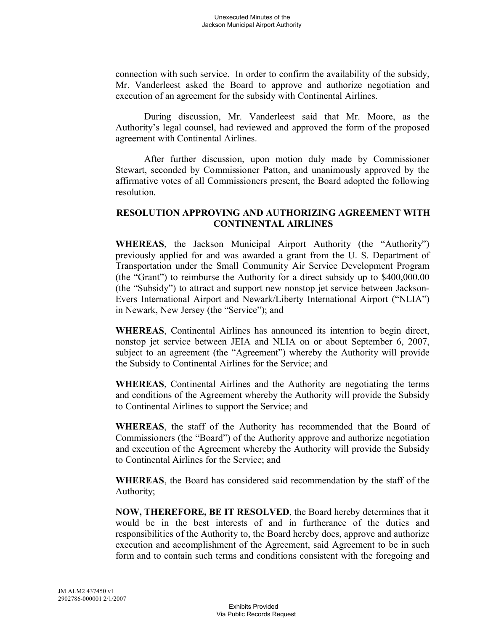connection with such service. In order to confirm the availability of the subsidy, Mr. Vanderleest asked the Board to approve and authorize negotiation and execution of an agreement for the subsidy with Continental Airlines.

During discussion, Mr. Vanderleest said that Mr. Moore, as the Authority's legal counsel, had reviewed and approved the form of the proposed agreement with Continental Airlines.

After further discussion, upon motion duly made by Commissioner Stewart, seconded by Commissioner Patton, and unanimously approved by the affirmative votes of all Commissioners present, the Board adopted the following resolution.

# **RESOLUTION APPROVING AND AUTHORIZING AGREEMENT WITH CONTINENTAL AIRLINES**

**WHEREAS**, the Jackson Municipal Airport Authority (the "Authority") previously applied for and was awarded a grant from the U. S. Department of Transportation under the Small Community Air Service Development Program (the "Grant") to reimburse the Authority for a direct subsidy up to \$400,000.00 (the "Subsidy") to attract and support new nonstop jet service between Jackson-Evers International Airport and Newark/Liberty International Airport ("NLIA") in Newark, New Jersey (the "Service"); and

**WHEREAS**, Continental Airlines has announced its intention to begin direct, nonstop jet service between JEIA and NLIA on or about September 6, 2007, subject to an agreement (the "Agreement") whereby the Authority will provide the Subsidy to Continental Airlines for the Service; and

**WHEREAS**, Continental Airlines and the Authority are negotiating the terms and conditions of the Agreement whereby the Authority will provide the Subsidy to Continental Airlines to support the Service; and

**WHEREAS**, the staff of the Authority has recommended that the Board of Commissioners (the "Board") of the Authority approve and authorize negotiation and execution of the Agreement whereby the Authority will provide the Subsidy to Continental Airlines for the Service; and

**WHEREAS**, the Board has considered said recommendation by the staff of the Authority;

**NOW, THEREFORE, BE IT RESOLVED**, the Board hereby determines that it would be in the best interests of and in furtherance of the duties and responsibilities of the Authority to, the Board hereby does, approve and authorize execution and accomplishment of the Agreement, said Agreement to be in such form and to contain such terms and conditions consistent with the foregoing and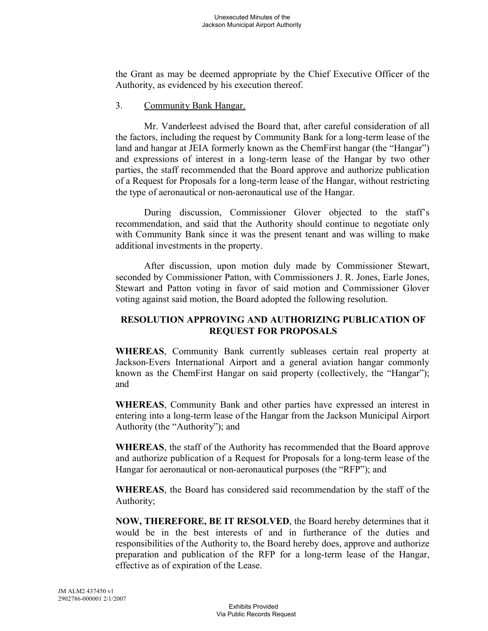the Grant as may be deemed appropriate by the Chief Executive Officer of the Authority, as evidenced by his execution thereof.

#### 3. Community Bank Hangar.

Mr. Vanderleest advised the Board that, after careful consideration of all the factors, including the request by Community Bank for a long-term lease of the land and hangar at JEIA formerly known as the ChemFirst hangar (the "Hangar") and expressions of interest in a long-term lease of the Hangar by two other parties, the staff recommended that the Board approve and authorize publication of a Request for Proposals for a long-term lease of the Hangar, without restricting the type of aeronautical or non-aeronautical use of the Hangar.

During discussion, Commissioner Glover objected to the staff's recommendation, and said that the Authority should continue to negotiate only with Community Bank since it was the present tenant and was willing to make additional investments in the property.

After discussion, upon motion duly made by Commissioner Stewart, seconded by Commissioner Patton, with Commissioners J. R. Jones, Earle Jones, Stewart and Patton voting in favor of said motion and Commissioner Glover voting against said motion, the Board adopted the following resolution.

# **RESOLUTION APPROVING AND AUTHORIZING PUBLICATION OF REQUEST FOR PROPOSALS**

**WHEREAS**, Community Bank currently subleases certain real property at Jackson-Evers International Airport and a general aviation hangar commonly known as the ChemFirst Hangar on said property (collectively, the "Hangar"); and

**WHEREAS**, Community Bank and other parties have expressed an interest in entering into a long-term lease of the Hangar from the Jackson Municipal Airport Authority (the "Authority"); and

**WHEREAS**, the staff of the Authority has recommended that the Board approve and authorize publication of a Request for Proposals for a long-term lease of the Hangar for aeronautical or non-aeronautical purposes (the "RFP"); and

**WHEREAS**, the Board has considered said recommendation by the staff of the Authority;

**NOW, THEREFORE, BE IT RESOLVED**, the Board hereby determines that it would be in the best interests of and in furtherance of the duties and responsibilities of the Authority to, the Board hereby does, approve and authorize preparation and publication of the RFP for a long-term lease of the Hangar, effective as of expiration of the Lease.